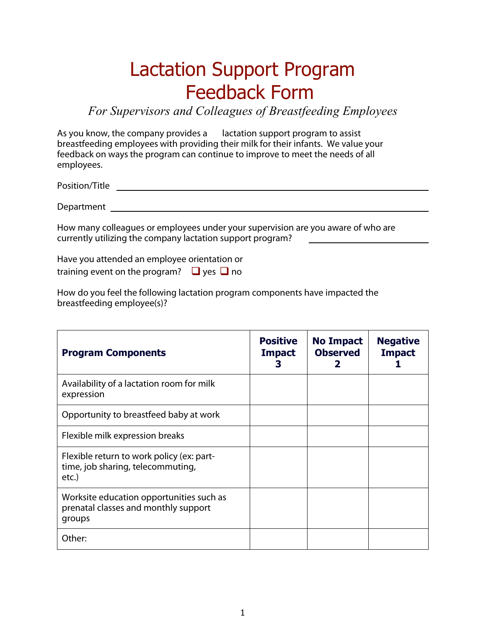## Lactation Support Program Feedback Form

*For Supervisors and Colleagues of Breastfeeding Employees* 

As you know, the company provides a lactation support program to assist breastfeeding employees with providing their milk for their infants. We value your feedback on ways the program can continue to improve to meet the needs of all employees.

Position/Title

Department

How many colleagues or employees under your supervision are you aware of who are currently utilizing the company lactation support program?

Have you attended an employee orientation or training event on the program?  $\Box$  yes  $\Box$  no

How do you feel the following lactation program components have impacted the breastfeeding employee(s)?

| <b>Program Components</b>                                                                  | <b>Positive</b><br><b>Impact</b><br>З | <b>No Impact</b><br><b>Observed</b><br>2 | <b>Negative</b><br><b>Impact</b> |
|--------------------------------------------------------------------------------------------|---------------------------------------|------------------------------------------|----------------------------------|
| Availability of a lactation room for milk<br>expression                                    |                                       |                                          |                                  |
| Opportunity to breastfeed baby at work                                                     |                                       |                                          |                                  |
| Flexible milk expression breaks                                                            |                                       |                                          |                                  |
| Flexible return to work policy (ex: part-<br>time, job sharing, telecommuting,<br>etc.)    |                                       |                                          |                                  |
| Worksite education opportunities such as<br>prenatal classes and monthly support<br>groups |                                       |                                          |                                  |
| Other:                                                                                     |                                       |                                          |                                  |